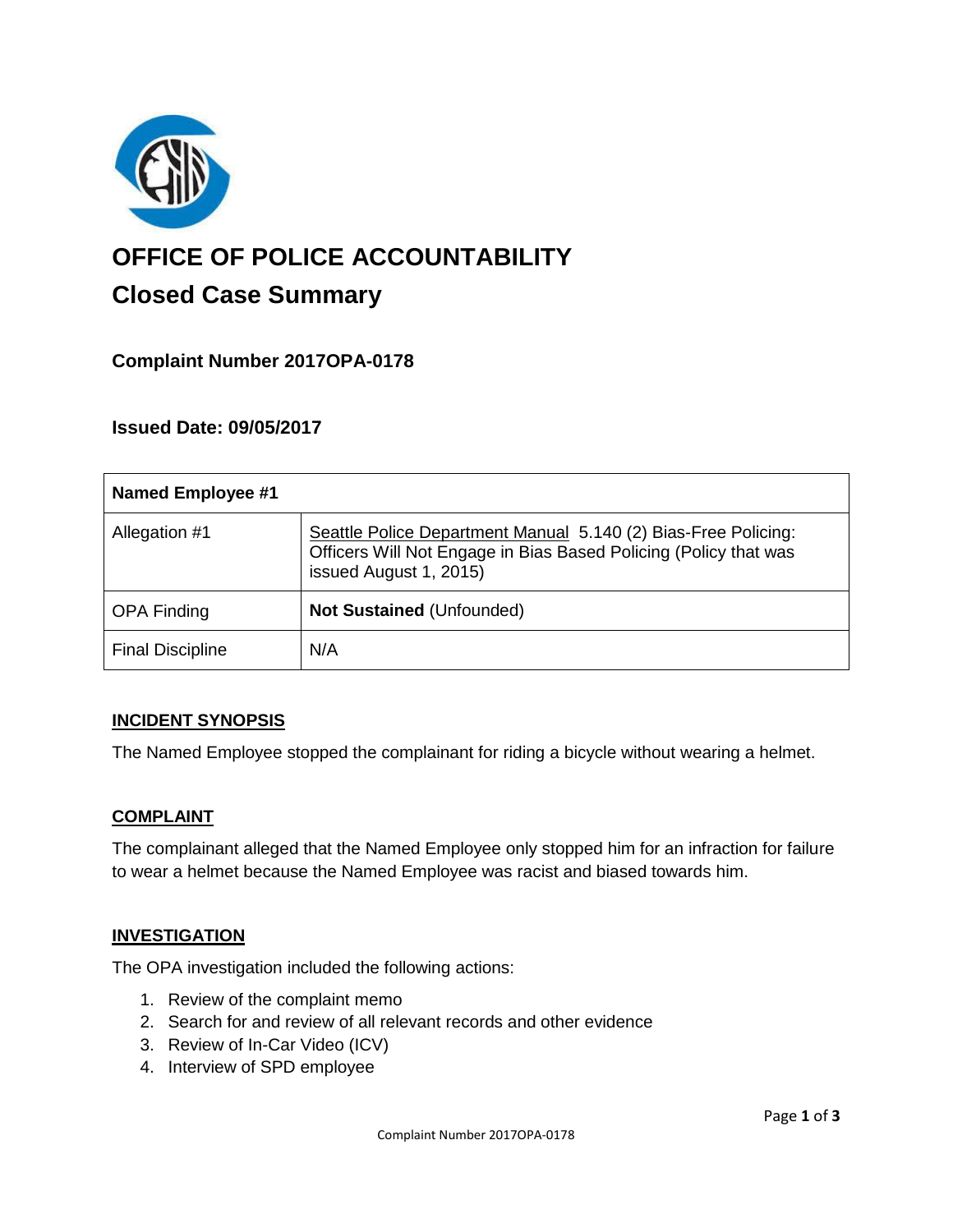

# **OFFICE OF POLICE ACCOUNTABILITY**

# **Closed Case Summary**

# **Complaint Number 2017OPA-0178**

# **Issued Date: 09/05/2017**

| <b>Named Employee #1</b> |                                                                                                                                                              |
|--------------------------|--------------------------------------------------------------------------------------------------------------------------------------------------------------|
| Allegation #1            | Seattle Police Department Manual 5.140 (2) Bias-Free Policing:<br>Officers Will Not Engage in Bias Based Policing (Policy that was<br>issued August 1, 2015) |
| <b>OPA Finding</b>       | <b>Not Sustained (Unfounded)</b>                                                                                                                             |
| <b>Final Discipline</b>  | N/A                                                                                                                                                          |

# **INCIDENT SYNOPSIS**

The Named Employee stopped the complainant for riding a bicycle without wearing a helmet.

#### **COMPLAINT**

The complainant alleged that the Named Employee only stopped him for an infraction for failure to wear a helmet because the Named Employee was racist and biased towards him.

#### **INVESTIGATION**

The OPA investigation included the following actions:

- 1. Review of the complaint memo
- 2. Search for and review of all relevant records and other evidence
- 3. Review of In-Car Video (ICV)
- 4. Interview of SPD employee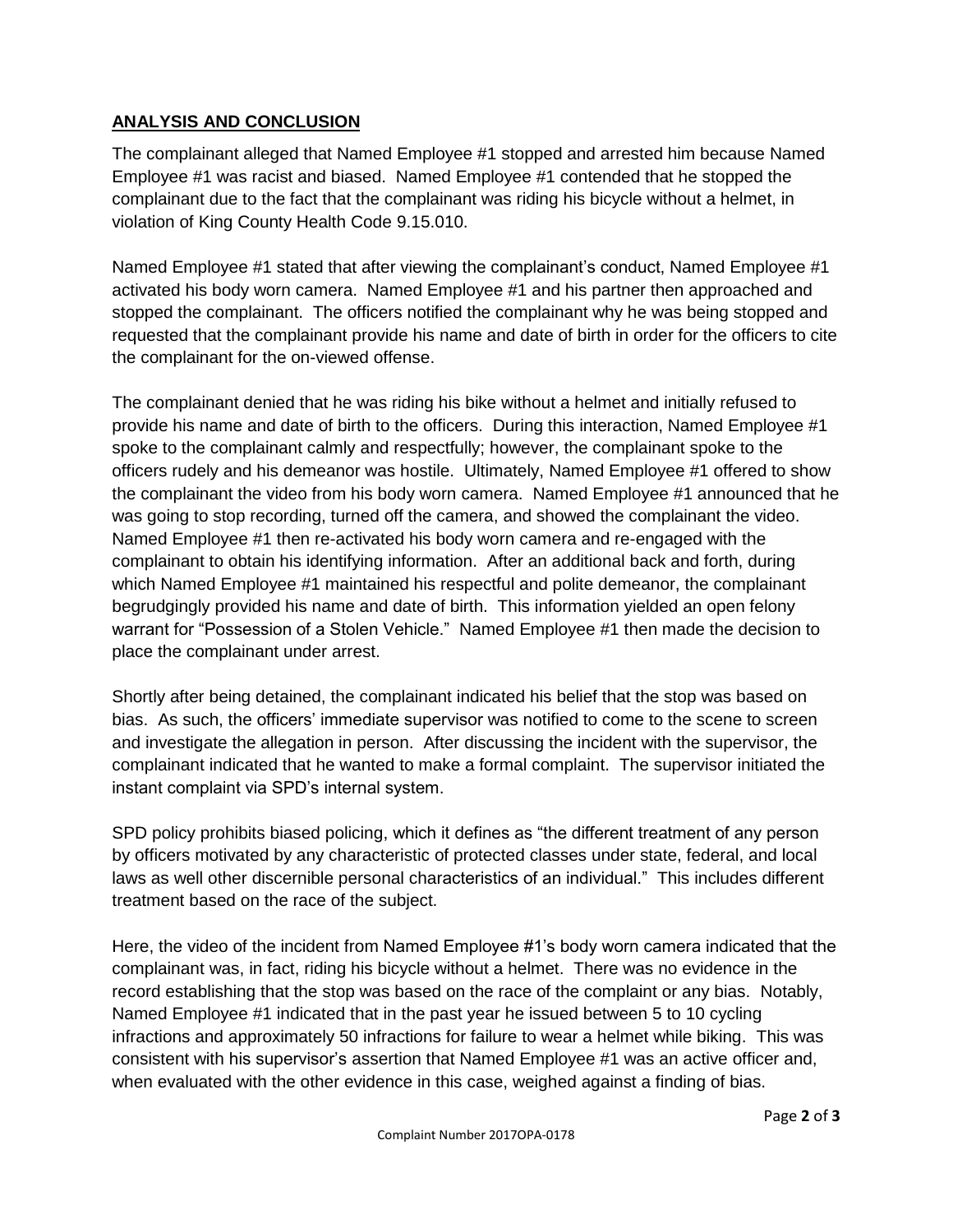# **ANALYSIS AND CONCLUSION**

The complainant alleged that Named Employee #1 stopped and arrested him because Named Employee #1 was racist and biased. Named Employee #1 contended that he stopped the complainant due to the fact that the complainant was riding his bicycle without a helmet, in violation of King County Health Code 9.15.010.

Named Employee #1 stated that after viewing the complainant's conduct, Named Employee #1 activated his body worn camera. Named Employee #1 and his partner then approached and stopped the complainant. The officers notified the complainant why he was being stopped and requested that the complainant provide his name and date of birth in order for the officers to cite the complainant for the on-viewed offense.

The complainant denied that he was riding his bike without a helmet and initially refused to provide his name and date of birth to the officers. During this interaction, Named Employee #1 spoke to the complainant calmly and respectfully; however, the complainant spoke to the officers rudely and his demeanor was hostile. Ultimately, Named Employee #1 offered to show the complainant the video from his body worn camera. Named Employee #1 announced that he was going to stop recording, turned off the camera, and showed the complainant the video. Named Employee #1 then re-activated his body worn camera and re-engaged with the complainant to obtain his identifying information. After an additional back and forth, during which Named Employee #1 maintained his respectful and polite demeanor, the complainant begrudgingly provided his name and date of birth. This information yielded an open felony warrant for "Possession of a Stolen Vehicle." Named Employee #1 then made the decision to place the complainant under arrest.

Shortly after being detained, the complainant indicated his belief that the stop was based on bias. As such, the officers' immediate supervisor was notified to come to the scene to screen and investigate the allegation in person. After discussing the incident with the supervisor, the complainant indicated that he wanted to make a formal complaint. The supervisor initiated the instant complaint via SPD's internal system.

SPD policy prohibits biased policing, which it defines as "the different treatment of any person by officers motivated by any characteristic of protected classes under state, federal, and local laws as well other discernible personal characteristics of an individual." This includes different treatment based on the race of the subject.

Here, the video of the incident from Named Employee #1's body worn camera indicated that the complainant was, in fact, riding his bicycle without a helmet. There was no evidence in the record establishing that the stop was based on the race of the complaint or any bias. Notably, Named Employee #1 indicated that in the past year he issued between 5 to 10 cycling infractions and approximately 50 infractions for failure to wear a helmet while biking. This was consistent with his supervisor's assertion that Named Employee #1 was an active officer and, when evaluated with the other evidence in this case, weighed against a finding of bias.